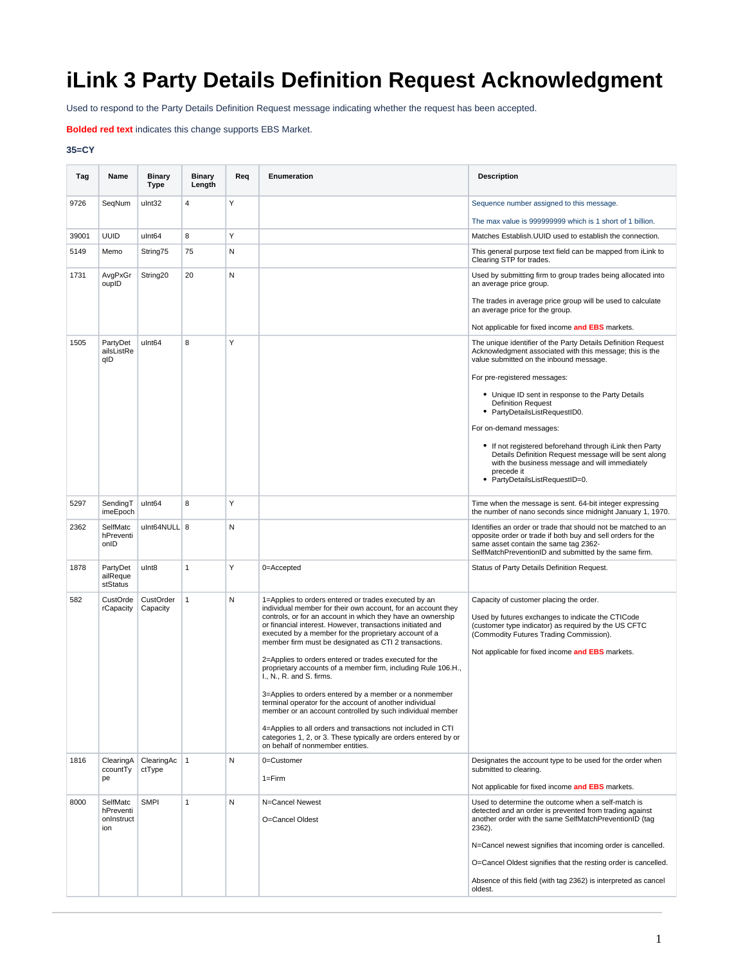## **iLink 3 Party Details Definition Request Acknowledgment**

Used to respond to the Party Details Definition Request message indicating whether the request has been accepted.

**Bolded red text** indicates this change supports EBS Market.

## **35=CY**

| Tag   | Name                                       | <b>Binary</b><br><b>Type</b> | <b>Binary</b><br>Length | Req | Enumeration                                                                                                                                                                                                                                                                                                                                                         | <b>Description</b>                                                                                                                                                                                                                                  |
|-------|--------------------------------------------|------------------------------|-------------------------|-----|---------------------------------------------------------------------------------------------------------------------------------------------------------------------------------------------------------------------------------------------------------------------------------------------------------------------------------------------------------------------|-----------------------------------------------------------------------------------------------------------------------------------------------------------------------------------------------------------------------------------------------------|
| 9726  | SeqNum                                     | ulnt32                       | $\overline{4}$          | Y   |                                                                                                                                                                                                                                                                                                                                                                     | Sequence number assigned to this message.                                                                                                                                                                                                           |
|       |                                            |                              |                         |     |                                                                                                                                                                                                                                                                                                                                                                     | The max value is 999999999 which is 1 short of 1 billion.                                                                                                                                                                                           |
| 39001 | <b>UUID</b>                                | ulnt64                       | 8                       | Υ   |                                                                                                                                                                                                                                                                                                                                                                     | Matches Establish. UUID used to establish the connection.                                                                                                                                                                                           |
| 5149  | Memo                                       | String75                     | 75                      | N   |                                                                                                                                                                                                                                                                                                                                                                     | This general purpose text field can be mapped from iLink to<br>Clearing STP for trades.                                                                                                                                                             |
| 1731  | AvgPxGr<br>oupID                           | String20                     | 20                      | N   |                                                                                                                                                                                                                                                                                                                                                                     | Used by submitting firm to group trades being allocated into<br>an average price group.                                                                                                                                                             |
|       |                                            |                              |                         |     |                                                                                                                                                                                                                                                                                                                                                                     | The trades in average price group will be used to calculate<br>an average price for the group.                                                                                                                                                      |
|       |                                            |                              |                         |     |                                                                                                                                                                                                                                                                                                                                                                     | Not applicable for fixed income and EBS markets.                                                                                                                                                                                                    |
| 1505  | PartyDet<br>ailsListRe<br>qID              | ulnt64                       | 8                       | Υ   |                                                                                                                                                                                                                                                                                                                                                                     | The unique identifier of the Party Details Definition Request<br>Acknowledgment associated with this message; this is the<br>value submitted on the inbound message.                                                                                |
|       |                                            |                              |                         |     |                                                                                                                                                                                                                                                                                                                                                                     | For pre-registered messages:                                                                                                                                                                                                                        |
|       |                                            |                              |                         |     |                                                                                                                                                                                                                                                                                                                                                                     | • Unique ID sent in response to the Party Details<br><b>Definition Request</b><br>• PartyDetailsListRequestID0.                                                                                                                                     |
|       |                                            |                              |                         |     |                                                                                                                                                                                                                                                                                                                                                                     | For on-demand messages:                                                                                                                                                                                                                             |
|       |                                            |                              |                         |     |                                                                                                                                                                                                                                                                                                                                                                     | • If not registered beforehand through iLink then Party<br>Details Definition Request message will be sent along<br>with the business message and will immediately<br>precede it<br>• PartyDetailsListRequestID=0.                                  |
|       |                                            |                              |                         |     |                                                                                                                                                                                                                                                                                                                                                                     |                                                                                                                                                                                                                                                     |
| 5297  | SendingT<br>imeEpoch                       | ulnt64                       | 8                       | Υ   |                                                                                                                                                                                                                                                                                                                                                                     | Time when the message is sent. 64-bit integer expressing<br>the number of nano seconds since midnight January 1, 1970.                                                                                                                              |
| 2362  | SelfMatc<br>hPreventi<br>onID              | ulnt64NULL 8                 |                         | N   |                                                                                                                                                                                                                                                                                                                                                                     | Identifies an order or trade that should not be matched to an<br>opposite order or trade if both buy and sell orders for the<br>same asset contain the same tag 2362-<br>SelfMatchPreventionID and submitted by the same firm.                      |
| 1878  | PartyDet<br>ailReque<br>stStatus           | ulnt8                        | $\mathbf{1}$            | Υ   | 0=Accepted                                                                                                                                                                                                                                                                                                                                                          | Status of Party Details Definition Request.                                                                                                                                                                                                         |
| 582   | CustOrde<br>rCapacity                      | CustOrder<br>Capacity        | $\mathbf{1}$            | N   | 1=Applies to orders entered or trades executed by an<br>individual member for their own account, for an account they<br>controls, or for an account in which they have an ownership<br>or financial interest. However, transactions initiated and<br>executed by a member for the proprietary account of a<br>member firm must be designated as CTI 2 transactions. | Capacity of customer placing the order.<br>Used by futures exchanges to indicate the CTICode<br>(customer type indicator) as required by the US CFTC<br>(Commodity Futures Trading Commission).<br>Not applicable for fixed income and EBS markets. |
|       |                                            |                              |                         |     | 2=Applies to orders entered or trades executed for the<br>proprietary accounts of a member firm, including Rule 106.H.,<br>I., N., R. and S. firms.                                                                                                                                                                                                                 |                                                                                                                                                                                                                                                     |
|       |                                            |                              |                         |     | 3=Applies to orders entered by a member or a nonmember<br>terminal operator for the account of another individual<br>member or an account controlled by such individual member                                                                                                                                                                                      |                                                                                                                                                                                                                                                     |
|       |                                            |                              |                         |     | 4=Applies to all orders and transactions not included in CTI<br>categories 1, 2, or 3. These typically are orders entered by or<br>on behalf of nonmember entities.                                                                                                                                                                                                 |                                                                                                                                                                                                                                                     |
| 1816  | ClearingA<br>ccountTy                      | ClearingAc<br>ctType         | $\mathbf{1}$            | N   | 0=Customer                                                                                                                                                                                                                                                                                                                                                          | Designates the account type to be used for the order when<br>submitted to clearing.                                                                                                                                                                 |
|       | pe                                         |                              |                         |     | $1 = Firm$                                                                                                                                                                                                                                                                                                                                                          | Not applicable for fixed income and EBS markets.                                                                                                                                                                                                    |
| 8000  | SelfMatc<br>hPreventi<br>onInstruct<br>ion | <b>SMPI</b>                  | 1                       | N   | N=Cancel Newest<br>O=Cancel Oldest                                                                                                                                                                                                                                                                                                                                  | Used to determine the outcome when a self-match is<br>detected and an order is prevented from trading against<br>another order with the same SelfMatchPreventionID (tag<br>2362).                                                                   |
|       |                                            |                              |                         |     |                                                                                                                                                                                                                                                                                                                                                                     | N=Cancel newest signifies that incoming order is cancelled.                                                                                                                                                                                         |
|       |                                            |                              |                         |     |                                                                                                                                                                                                                                                                                                                                                                     | O=Cancel Oldest signifies that the resting order is cancelled.                                                                                                                                                                                      |
|       |                                            |                              |                         |     |                                                                                                                                                                                                                                                                                                                                                                     | Absence of this field (with tag 2362) is interpreted as cancel<br>oldest.                                                                                                                                                                           |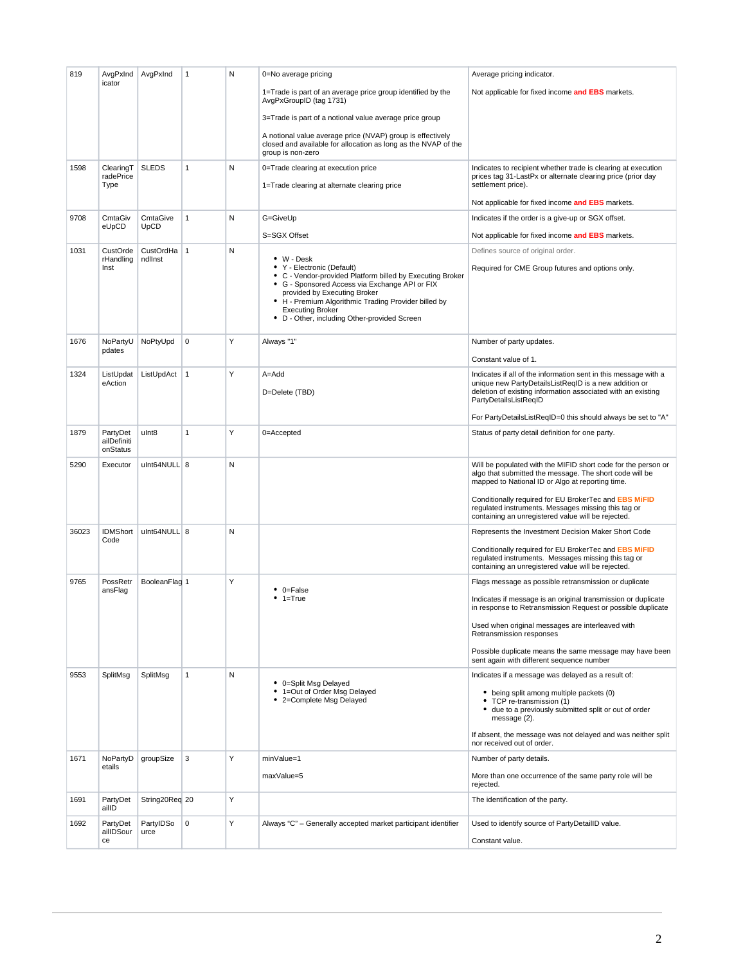| 819   | AvgPxInd<br>icator                  | AvgPxInd                |              | N | 0=No average pricing                                                                                                                                                                                                                                                                                                               | Average pricing indicator.                                                                                                                                                                                                                                                                                                                         |
|-------|-------------------------------------|-------------------------|--------------|---|------------------------------------------------------------------------------------------------------------------------------------------------------------------------------------------------------------------------------------------------------------------------------------------------------------------------------------|----------------------------------------------------------------------------------------------------------------------------------------------------------------------------------------------------------------------------------------------------------------------------------------------------------------------------------------------------|
|       |                                     |                         |              |   | 1=Trade is part of an average price group identified by the<br>AvgPxGroupID (tag 1731)                                                                                                                                                                                                                                             | Not applicable for fixed income and EBS markets.                                                                                                                                                                                                                                                                                                   |
|       |                                     |                         |              |   | 3=Trade is part of a notional value average price group                                                                                                                                                                                                                                                                            |                                                                                                                                                                                                                                                                                                                                                    |
|       |                                     |                         |              |   | A notional value average price (NVAP) group is effectively<br>closed and available for allocation as long as the NVAP of the<br>group is non-zero                                                                                                                                                                                  |                                                                                                                                                                                                                                                                                                                                                    |
| 1598  | ClearingT<br>radePrice              | <b>SLEDS</b>            | 1            | N | 0=Trade clearing at execution price                                                                                                                                                                                                                                                                                                | Indicates to recipient whether trade is clearing at execution<br>prices tag 31-LastPx or alternate clearing price (prior day                                                                                                                                                                                                                       |
|       | Type                                |                         |              |   | 1=Trade clearing at alternate clearing price                                                                                                                                                                                                                                                                                       | settlement price).                                                                                                                                                                                                                                                                                                                                 |
|       |                                     |                         |              |   |                                                                                                                                                                                                                                                                                                                                    | Not applicable for fixed income and EBS markets.                                                                                                                                                                                                                                                                                                   |
| 9708  | CmtaGiv<br>eUpCD                    | CmtaGive<br><b>UpCD</b> | $\mathbf{1}$ | N | G=GiveUp                                                                                                                                                                                                                                                                                                                           | Indicates if the order is a give-up or SGX offset.                                                                                                                                                                                                                                                                                                 |
| 1031  | CustOrde                            | CustOrdHa   1           |              | N | S=SGX Offset                                                                                                                                                                                                                                                                                                                       | Not applicable for fixed income and EBS markets.                                                                                                                                                                                                                                                                                                   |
|       | rHandling<br>Inst                   | ndllnst                 |              |   | $\bullet$ W - Desk<br>• Y - Electronic (Default)<br>• C - Vendor-provided Platform billed by Executing Broker<br>• G - Sponsored Access via Exchange API or FIX<br>provided by Executing Broker<br>• H - Premium Algorithmic Trading Provider billed by<br><b>Executing Broker</b><br>• D - Other, including Other-provided Screen | Defines source of original order.<br>Required for CME Group futures and options only.                                                                                                                                                                                                                                                              |
| 1676  | NoPartyU                            | NoPtyUpd                | 0            | Y | Always "1"                                                                                                                                                                                                                                                                                                                         | Number of party updates.                                                                                                                                                                                                                                                                                                                           |
|       | pdates                              |                         |              |   |                                                                                                                                                                                                                                                                                                                                    | Constant value of 1.                                                                                                                                                                                                                                                                                                                               |
| 1324  | ListUpdat<br>eAction                | ListUpdAct              | $\mathbf{1}$ | Y | A=Add<br>D=Delete (TBD)                                                                                                                                                                                                                                                                                                            | Indicates if all of the information sent in this message with a<br>unique new PartyDetailsListRegID is a new addition or<br>deletion of existing information associated with an existing<br>PartyDetailsListReqID                                                                                                                                  |
|       |                                     |                         |              |   |                                                                                                                                                                                                                                                                                                                                    | For PartyDetailsListReqID=0 this should always be set to "A"                                                                                                                                                                                                                                                                                       |
| 1879  | PartyDet<br>ailDefiniti<br>onStatus | ulnt8                   | $\mathbf{1}$ | Y | 0=Accepted                                                                                                                                                                                                                                                                                                                         | Status of party detail definition for one party.                                                                                                                                                                                                                                                                                                   |
| 5290  | Executor                            | ulnt64NULL 8            |              | N |                                                                                                                                                                                                                                                                                                                                    | Will be populated with the MIFID short code for the person or<br>algo that submitted the message. The short code will be<br>mapped to National ID or Algo at reporting time.<br>Conditionally required for EU BrokerTec and EBS MIFID<br>regulated instruments. Messages missing this tag or<br>containing an unregistered value will be rejected. |
| 36023 | <b>IDMShort</b>                     | ulnt64NULL 8            |              | N |                                                                                                                                                                                                                                                                                                                                    | Represents the Investment Decision Maker Short Code                                                                                                                                                                                                                                                                                                |
|       | Code                                |                         |              |   |                                                                                                                                                                                                                                                                                                                                    | Conditionally required for EU BrokerTec and EBS MiFID<br>regulated instruments. Messages missing this tag or<br>containing an unregistered value will be rejected.                                                                                                                                                                                 |
| 9765  | PossRetr<br>ansFlag                 | BooleanFlag 1           |              | Υ | $\bullet$ 0=False                                                                                                                                                                                                                                                                                                                  | Flags message as possible retransmission or duplicate                                                                                                                                                                                                                                                                                              |
|       |                                     |                         |              |   | $• 1 = True$                                                                                                                                                                                                                                                                                                                       | Indicates if message is an original transmission or duplicate<br>in response to Retransmission Request or possible duplicate                                                                                                                                                                                                                       |
|       |                                     |                         |              |   |                                                                                                                                                                                                                                                                                                                                    | Used when original messages are interleaved with<br>Retransmission responses                                                                                                                                                                                                                                                                       |
|       |                                     |                         |              |   |                                                                                                                                                                                                                                                                                                                                    | Possible duplicate means the same message may have been<br>sent again with different sequence number                                                                                                                                                                                                                                               |
| 9553  | SplitMsg                            | SplitMsg                | $\mathbf{1}$ | N | • 0=Split Msg Delayed                                                                                                                                                                                                                                                                                                              | Indicates if a message was delayed as a result of:                                                                                                                                                                                                                                                                                                 |
|       |                                     |                         |              |   | • 1=Out of Order Msg Delayed<br>• 2=Complete Msg Delayed                                                                                                                                                                                                                                                                           | • being split among multiple packets (0)<br>• TCP re-transmission (1)<br>• due to a previously submitted split or out of order<br>message (2).                                                                                                                                                                                                     |
|       |                                     |                         |              |   |                                                                                                                                                                                                                                                                                                                                    | If absent, the message was not delayed and was neither split<br>nor received out of order.                                                                                                                                                                                                                                                         |
| 1671  | NoPartvD<br>etails                  | groupSize               | 3            | Y | minValue=1                                                                                                                                                                                                                                                                                                                         | Number of party details.                                                                                                                                                                                                                                                                                                                           |
|       |                                     |                         |              |   | maxValue=5                                                                                                                                                                                                                                                                                                                         | More than one occurrence of the same party role will be<br>rejected.                                                                                                                                                                                                                                                                               |
| 1691  | PartyDet<br>ailID                   | String20Req 20          |              | Υ |                                                                                                                                                                                                                                                                                                                                    | The identification of the party.                                                                                                                                                                                                                                                                                                                   |
| 1692  | PartyDet<br>ailIDSour               | PartyIDSo<br>urce       | 0            | Υ | Always "C" - Generally accepted market participant identifier                                                                                                                                                                                                                                                                      | Used to identify source of PartyDetailID value.                                                                                                                                                                                                                                                                                                    |
|       | ce                                  |                         |              |   |                                                                                                                                                                                                                                                                                                                                    | Constant value.                                                                                                                                                                                                                                                                                                                                    |